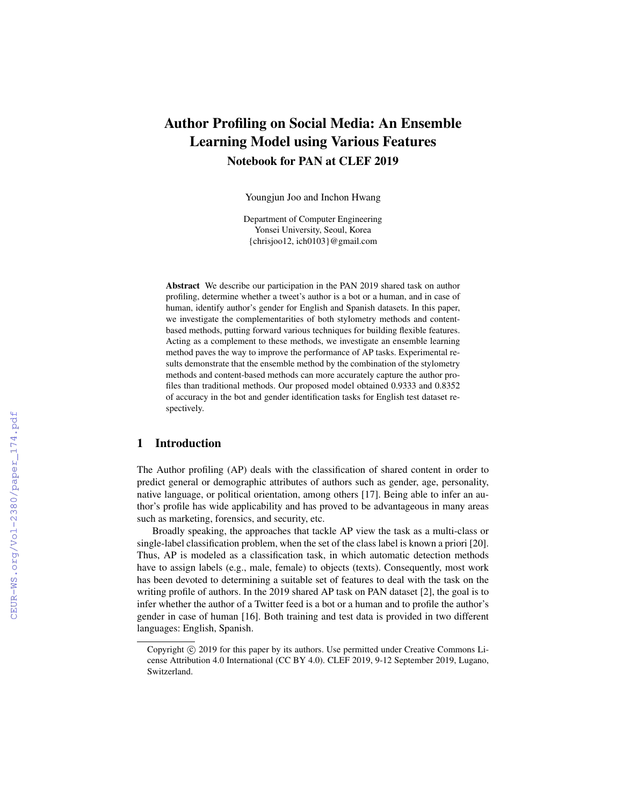# Author Profiling on Social Media: An Ensemble Learning Model using Various Features Notebook for PAN at CLEF 2019

Youngjun Joo and Inchon Hwang

Department of Computer Engineering Yonsei University, Seoul, Korea {chrisjoo12, ich0103}@gmail.com

Abstract We describe our participation in the PAN 2019 shared task on author profiling, determine whether a tweet's author is a bot or a human, and in case of human, identify author's gender for English and Spanish datasets. In this paper, we investigate the complementarities of both stylometry methods and contentbased methods, putting forward various techniques for building flexible features. Acting as a complement to these methods, we investigate an ensemble learning method paves the way to improve the performance of AP tasks. Experimental results demonstrate that the ensemble method by the combination of the stylometry methods and content-based methods can more accurately capture the author profiles than traditional methods. Our proposed model obtained 0.9333 and 0.8352 of accuracy in the bot and gender identification tasks for English test dataset respectively.

## 1 Introduction

The Author profiling (AP) deals with the classification of shared content in order to predict general or demographic attributes of authors such as gender, age, personality, native language, or political orientation, among others [17]. Being able to infer an author's profile has wide applicability and has proved to be advantageous in many areas such as marketing, forensics, and security, etc.

Broadly speaking, the approaches that tackle AP view the task as a multi-class or single-label classification problem, when the set of the class label is known a priori [20]. Thus, AP is modeled as a classification task, in which automatic detection methods have to assign labels (e.g., male, female) to objects (texts). Consequently, most work has been devoted to determining a suitable set of features to deal with the task on the writing profile of authors. In the 2019 shared AP task on PAN dataset [2], the goal is to infer whether the author of a Twitter feed is a bot or a human and to profile the author's gender in case of human [16]. Both training and test data is provided in two different languages: English, Spanish.

Copyright  $\odot$  2019 for this paper by its authors. Use permitted under Creative Commons License Attribution 4.0 International (CC BY 4.0). CLEF 2019, 9-12 September 2019, Lugano, Switzerland.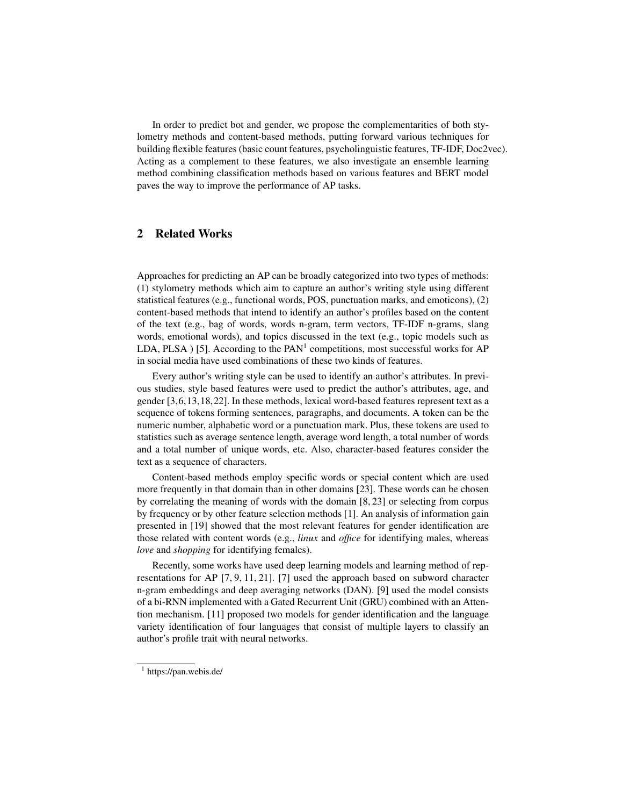In order to predict bot and gender, we propose the complementarities of both stylometry methods and content-based methods, putting forward various techniques for building flexible features (basic count features, psycholinguistic features, TF-IDF, Doc2vec). Acting as a complement to these features, we also investigate an ensemble learning method combining classification methods based on various features and BERT model paves the way to improve the performance of AP tasks.

# 2 Related Works

Approaches for predicting an AP can be broadly categorized into two types of methods: (1) stylometry methods which aim to capture an author's writing style using different statistical features (e.g., functional words, POS, punctuation marks, and emoticons), (2) content-based methods that intend to identify an author's profiles based on the content of the text (e.g., bag of words, words n-gram, term vectors, TF-IDF n-grams, slang words, emotional words), and topics discussed in the text (e.g., topic models such as LDA, PLSA  $)$  [5]. According to the PAN<sup>1</sup> competitions, most successful works for AP in social media have used combinations of these two kinds of features.

Every author's writing style can be used to identify an author's attributes. In previous studies, style based features were used to predict the author's attributes, age, and gender [3,6,13,18,22]. In these methods, lexical word-based features represent text as a sequence of tokens forming sentences, paragraphs, and documents. A token can be the numeric number, alphabetic word or a punctuation mark. Plus, these tokens are used to statistics such as average sentence length, average word length, a total number of words and a total number of unique words, etc. Also, character-based features consider the text as a sequence of characters.

Content-based methods employ specific words or special content which are used more frequently in that domain than in other domains [23]. These words can be chosen by correlating the meaning of words with the domain [8, 23] or selecting from corpus by frequency or by other feature selection methods [1]. An analysis of information gain presented in [19] showed that the most relevant features for gender identification are those related with content words (e.g., *linux* and *office* for identifying males, whereas *love* and *shopping* for identifying females).

Recently, some works have used deep learning models and learning method of representations for AP [7, 9, 11, 21]. [7] used the approach based on subword character n-gram embeddings and deep averaging networks (DAN). [9] used the model consists of a bi-RNN implemented with a Gated Recurrent Unit (GRU) combined with an Attention mechanism. [11] proposed two models for gender identification and the language variety identification of four languages that consist of multiple layers to classify an author's profile trait with neural networks.

<sup>&</sup>lt;sup>1</sup> https://pan.webis.de/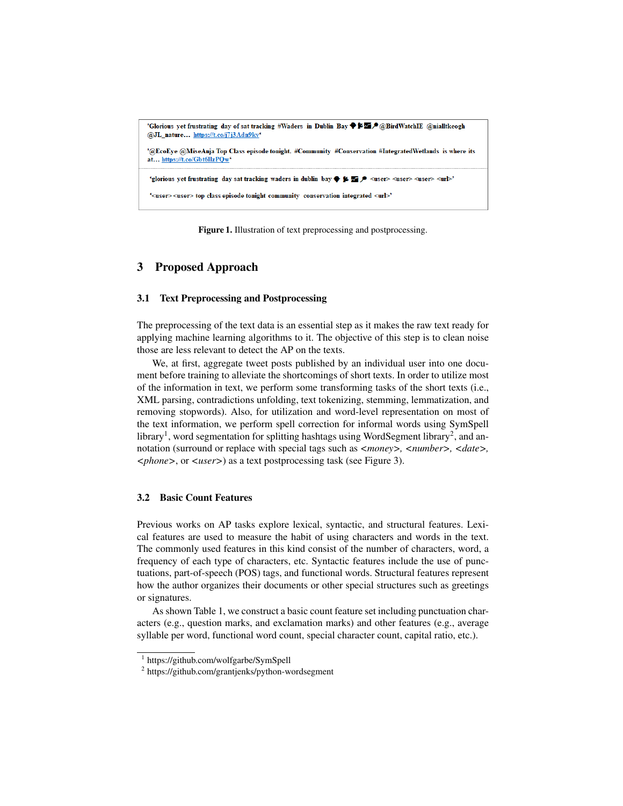

Figure 1. Illustration of text preprocessing and postprocessing.

## 3 Proposed Approach

#### 3.1 Text Preprocessing and Postprocessing

The preprocessing of the text data is an essential step as it makes the raw text ready for applying machine learning algorithms to it. The objective of this step is to clean noise those are less relevant to detect the AP on the texts.

We, at first, aggregate tweet posts published by an individual user into one document before training to alleviate the shortcomings of short texts. In order to utilize most of the information in text, we perform some transforming tasks of the short texts (i.e., XML parsing, contradictions unfolding, text tokenizing, stemming, lemmatization, and removing stopwords). Also, for utilization and word-level representation on most of the text information, we perform spell correction for informal words using SymSpell library<sup>1</sup>, word segmentation for splitting hashtags using WordSegment library<sup>2</sup>, and annotation (surround or replace with special tags such as  $\langle \textit{money} \rangle$ ,  $\langle \textit{number} \rangle$ ,  $\langle \textit{date} \rangle$ , *<phone>*, or *<user>*) as a text postprocessing task (see Figure 3).

## 3.2 Basic Count Features

Previous works on AP tasks explore lexical, syntactic, and structural features. Lexical features are used to measure the habit of using characters and words in the text. The commonly used features in this kind consist of the number of characters, word, a frequency of each type of characters, etc. Syntactic features include the use of punctuations, part-of-speech (POS) tags, and functional words. Structural features represent how the author organizes their documents or other special structures such as greetings or signatures.

As shown Table 1, we construct a basic count feature set including punctuation characters (e.g., question marks, and exclamation marks) and other features (e.g., average syllable per word, functional word count, special character count, capital ratio, etc.).

<sup>1</sup> https://github.com/wolfgarbe/SymSpell

<sup>&</sup>lt;sup>2</sup> https://github.com/grantjenks/python-wordsegment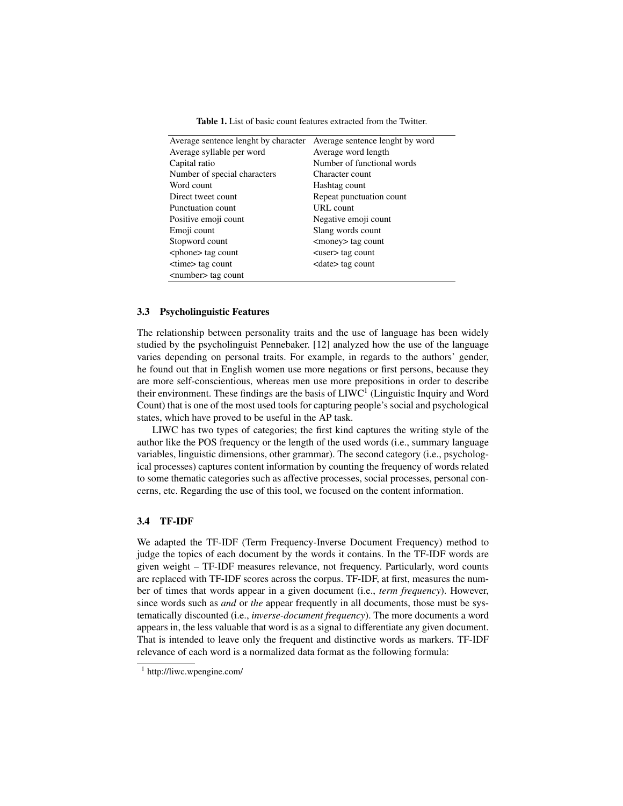Average sentence lenght by character Average sentence lenght by word

Table 1. List of basic count features extracted from the Twitter.

| Average semence lengin by character Average semence lengin by word |                            |
|--------------------------------------------------------------------|----------------------------|
| Average syllable per word                                          | Average word length        |
| Capital ratio                                                      | Number of functional words |
| Number of special characters                                       | Character count            |
| Word count                                                         | Hashtag count              |
| Direct tweet count                                                 | Repeat punctuation count   |
| Punctuation count                                                  | URL count                  |
| Positive emoji count                                               | Negative emoji count       |
| Emoji count                                                        | Slang words count          |
| Stopword count                                                     | <money> tag count</money>  |
| <phone> tag count</phone>                                          | <user> tag count</user>    |
| <time> tag count</time>                                            | <date> tag count</date>    |
| <number> tag count</number>                                        |                            |

#### 3.3 Psycholinguistic Features

The relationship between personality traits and the use of language has been widely studied by the psycholinguist Pennebaker. [12] analyzed how the use of the language varies depending on personal traits. For example, in regards to the authors' gender, he found out that in English women use more negations or first persons, because they are more self-conscientious, whereas men use more prepositions in order to describe their environment. These findings are the basis of  $L I W C<sup>1</sup>$  (Linguistic Inquiry and Word Count) that is one of the most used tools for capturing people's social and psychological states, which have proved to be useful in the AP task.

LIWC has two types of categories; the first kind captures the writing style of the author like the POS frequency or the length of the used words (i.e., summary language variables, linguistic dimensions, other grammar). The second category (i.e., psychological processes) captures content information by counting the frequency of words related to some thematic categories such as affective processes, social processes, personal concerns, etc. Regarding the use of this tool, we focused on the content information.

## 3.4 TF-IDF

We adapted the TF-IDF (Term Frequency-Inverse Document Frequency) method to judge the topics of each document by the words it contains. In the TF-IDF words are given weight – TF-IDF measures relevance, not frequency. Particularly, word counts are replaced with TF-IDF scores across the corpus. TF-IDF, at first, measures the number of times that words appear in a given document (i.e., *term frequency*). However, since words such as *and* or *the* appear frequently in all documents, those must be systematically discounted (i.e., *inverse-document frequency*). The more documents a word appears in, the less valuable that word is as a signal to differentiate any given document. That is intended to leave only the frequent and distinctive words as markers. TF-IDF relevance of each word is a normalized data format as the following formula:

<sup>1</sup> http://liwc.wpengine.com/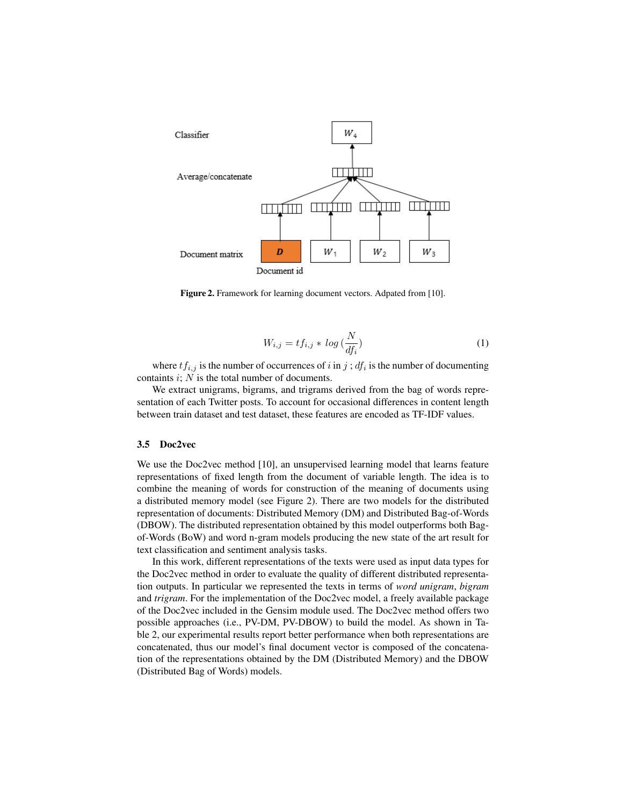

Figure 2. Framework for learning document vectors. Adpated from [10].

$$
W_{i,j} = tf_{i,j} * log\left(\frac{N}{df_i}\right) \tag{1}
$$

where  $tf_{i,j}$  is the number of occurrences of i in j;  $df_i$  is the number of documenting containts  $i$ ;  $N$  is the total number of documents.

We extract unigrams, bigrams, and trigrams derived from the bag of words representation of each Twitter posts. To account for occasional differences in content length between train dataset and test dataset, these features are encoded as TF-IDF values.

#### 3.5 Doc2vec

We use the Doc2vec method [10], an unsupervised learning model that learns feature representations of fixed length from the document of variable length. The idea is to combine the meaning of words for construction of the meaning of documents using a distributed memory model (see Figure 2). There are two models for the distributed representation of documents: Distributed Memory (DM) and Distributed Bag-of-Words (DBOW). The distributed representation obtained by this model outperforms both Bagof-Words (BoW) and word n-gram models producing the new state of the art result for text classification and sentiment analysis tasks.

In this work, different representations of the texts were used as input data types for the Doc2vec method in order to evaluate the quality of different distributed representation outputs. In particular we represented the texts in terms of *word unigram*, *bigram* and *trigram*. For the implementation of the Doc2vec model, a freely available package of the Doc2vec included in the Gensim module used. The Doc2vec method offers two possible approaches (i.e., PV-DM, PV-DBOW) to build the model. As shown in Table 2, our experimental results report better performance when both representations are concatenated, thus our model's final document vector is composed of the concatenation of the representations obtained by the DM (Distributed Memory) and the DBOW (Distributed Bag of Words) models.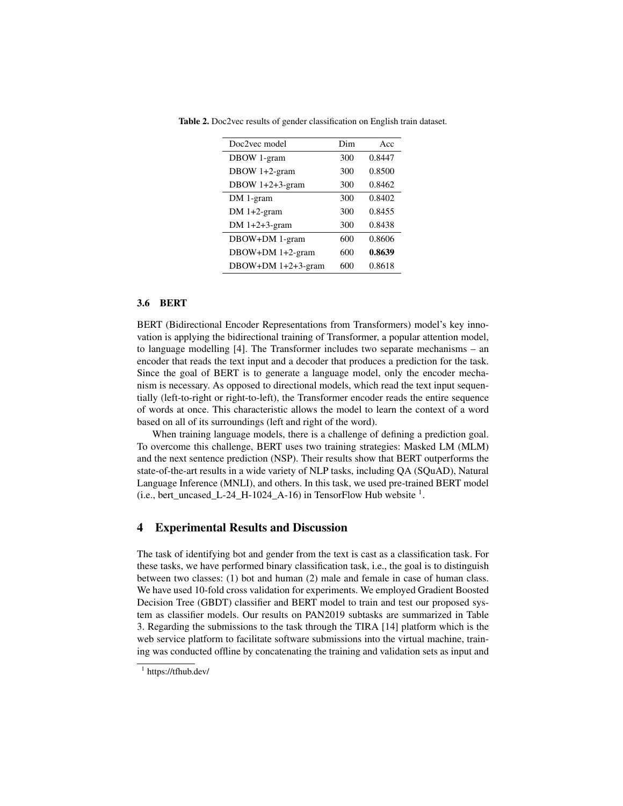| Doc2vec model      | Dim | Acc    |  |
|--------------------|-----|--------|--|
| DBOW 1-gram        | 300 | 0.8447 |  |
| DBOW 1+2-gram      | 300 | 0.8500 |  |
| DBOW $1+2+3$ -gram | 300 | 0.8462 |  |
| DM 1-gram          | 300 | 0.8402 |  |
| DM $1+2$ -gram     | 300 | 0.8455 |  |
| DM $1+2+3$ -gram   | 300 | 0.8438 |  |
| DBOW+DM 1-gram     | 600 | 0.8606 |  |
| DBOW+DM 1+2-gram   | 600 | 0.8639 |  |
| DBOW+DM 1+2+3-gram | 600 | 0.8618 |  |

Table 2. Doc2vec results of gender classification on English train dataset.

#### 3.6 BERT

BERT (Bidirectional Encoder Representations from Transformers) model's key innovation is applying the bidirectional training of Transformer, a popular attention model, to language modelling [4]. The Transformer includes two separate mechanisms – an encoder that reads the text input and a decoder that produces a prediction for the task. Since the goal of BERT is to generate a language model, only the encoder mechanism is necessary. As opposed to directional models, which read the text input sequentially (left-to-right or right-to-left), the Transformer encoder reads the entire sequence of words at once. This characteristic allows the model to learn the context of a word based on all of its surroundings (left and right of the word).

When training language models, there is a challenge of defining a prediction goal. To overcome this challenge, BERT uses two training strategies: Masked LM (MLM) and the next sentence prediction (NSP). Their results show that BERT outperforms the state-of-the-art results in a wide variety of NLP tasks, including QA (SQuAD), Natural Language Inference (MNLI), and others. In this task, we used pre-trained BERT model  $(i.e., bert\_uncased\_L-24\_H-1024\_A-16)$  in TensorFlow Hub website  $<sup>1</sup>$ .</sup>

## 4 Experimental Results and Discussion

The task of identifying bot and gender from the text is cast as a classification task. For these tasks, we have performed binary classification task, i.e., the goal is to distinguish between two classes: (1) bot and human (2) male and female in case of human class. We have used 10-fold cross validation for experiments. We employed Gradient Boosted Decision Tree (GBDT) classifier and BERT model to train and test our proposed system as classifier models. Our results on PAN2019 subtasks are summarized in Table 3. Regarding the submissions to the task through the TIRA [14] platform which is the web service platform to facilitate software submissions into the virtual machine, training was conducted offline by concatenating the training and validation sets as input and

<sup>1</sup> https://tfhub.dev/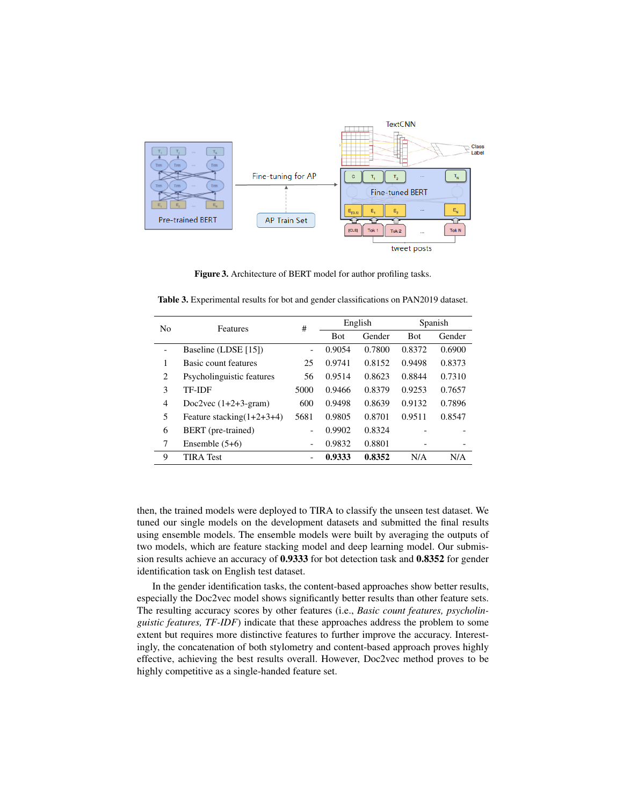

Figure 3. Architecture of BERT model for author profiling tasks.

| N <sub>0</sub> | Features                     | #                        | English    |        | Spanish    |        |
|----------------|------------------------------|--------------------------|------------|--------|------------|--------|
|                |                              |                          | <b>Bot</b> | Gender | <b>Bot</b> | Gender |
|                | Baseline (LDSE [15])         | $\overline{\phantom{a}}$ | 0.9054     | 0.7800 | 0.8372     | 0.6900 |
| 1              | Basic count features         | 25                       | 0.9741     | 0.8152 | 0.9498     | 0.8373 |
| 2              | Psycholinguistic features    | 56                       | 0.9514     | 0.8623 | 0.8844     | 0.7310 |
| 3              | <b>TF-IDF</b>                | 5000                     | 0.9466     | 0.8379 | 0.9253     | 0.7657 |
| 4              | Doc2vec $(1+2+3-gram)$       | 600                      | 0.9498     | 0.8639 | 0.9132     | 0.7896 |
| 5              | Feature stacking $(1+2+3+4)$ | 5681                     | 0.9805     | 0.8701 | 0.9511     | 0.8547 |
| 6              | BERT (pre-trained)           |                          | 0.9902     | 0.8324 |            |        |
| 7              | Ensemble $(5+6)$             | $\overline{\phantom{a}}$ | 0.9832     | 0.8801 |            |        |
| 9              | <b>TIRA</b> Test             |                          | 0.9333     | 0.8352 | N/A        | N/A    |

Table 3. Experimental results for bot and gender classifications on PAN2019 dataset.

then, the trained models were deployed to TIRA to classify the unseen test dataset. We tuned our single models on the development datasets and submitted the final results using ensemble models. The ensemble models were built by averaging the outputs of two models, which are feature stacking model and deep learning model. Our submission results achieve an accuracy of 0.9333 for bot detection task and 0.8352 for gender identification task on English test dataset.

In the gender identification tasks, the content-based approaches show better results, especially the Doc2vec model shows significantly better results than other feature sets. The resulting accuracy scores by other features (i.e., *Basic count features, psycholinguistic features, TF-IDF*) indicate that these approaches address the problem to some extent but requires more distinctive features to further improve the accuracy. Interestingly, the concatenation of both stylometry and content-based approach proves highly effective, achieving the best results overall. However, Doc2vec method proves to be highly competitive as a single-handed feature set.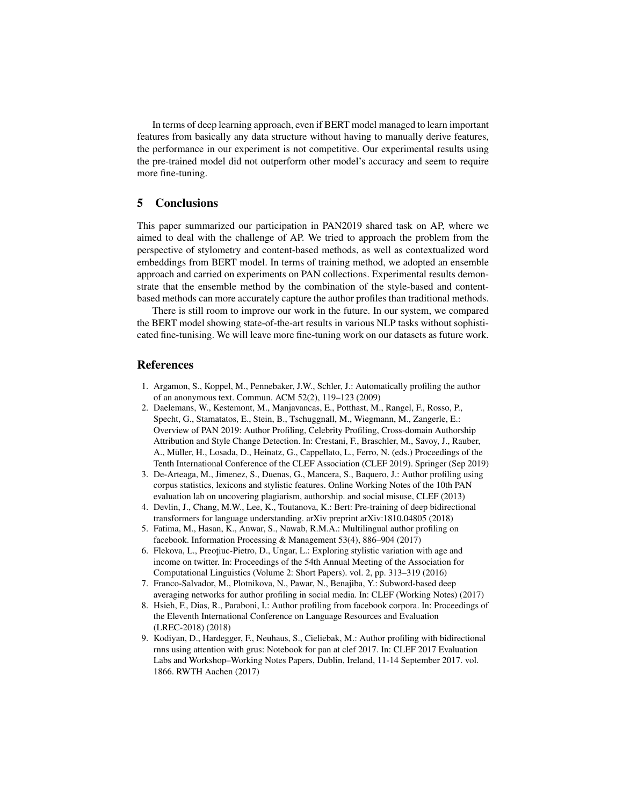In terms of deep learning approach, even if BERT model managed to learn important features from basically any data structure without having to manually derive features, the performance in our experiment is not competitive. Our experimental results using the pre-trained model did not outperform other model's accuracy and seem to require more fine-tuning.

## 5 Conclusions

This paper summarized our participation in PAN2019 shared task on AP, where we aimed to deal with the challenge of AP. We tried to approach the problem from the perspective of stylometry and content-based methods, as well as contextualized word embeddings from BERT model. In terms of training method, we adopted an ensemble approach and carried on experiments on PAN collections. Experimental results demonstrate that the ensemble method by the combination of the style-based and contentbased methods can more accurately capture the author profiles than traditional methods.

There is still room to improve our work in the future. In our system, we compared the BERT model showing state-of-the-art results in various NLP tasks without sophisticated fine-tunising. We will leave more fine-tuning work on our datasets as future work.

#### References

- 1. Argamon, S., Koppel, M., Pennebaker, J.W., Schler, J.: Automatically profiling the author of an anonymous text. Commun. ACM 52(2), 119–123 (2009)
- 2. Daelemans, W., Kestemont, M., Manjavancas, E., Potthast, M., Rangel, F., Rosso, P., Specht, G., Stamatatos, E., Stein, B., Tschuggnall, M., Wiegmann, M., Zangerle, E.: Overview of PAN 2019: Author Profiling, Celebrity Profiling, Cross-domain Authorship Attribution and Style Change Detection. In: Crestani, F., Braschler, M., Savoy, J., Rauber, A., Müller, H., Losada, D., Heinatz, G., Cappellato, L., Ferro, N. (eds.) Proceedings of the Tenth International Conference of the CLEF Association (CLEF 2019). Springer (Sep 2019)
- 3. De-Arteaga, M., Jimenez, S., Duenas, G., Mancera, S., Baquero, J.: Author profiling using corpus statistics, lexicons and stylistic features. Online Working Notes of the 10th PAN evaluation lab on uncovering plagiarism, authorship. and social misuse, CLEF (2013)
- 4. Devlin, J., Chang, M.W., Lee, K., Toutanova, K.: Bert: Pre-training of deep bidirectional transformers for language understanding. arXiv preprint arXiv:1810.04805 (2018)
- 5. Fatima, M., Hasan, K., Anwar, S., Nawab, R.M.A.: Multilingual author profiling on facebook. Information Processing & Management 53(4), 886–904 (2017)
- 6. Flekova, L., Preotiuc-Pietro, D., Ungar, L.: Exploring stylistic variation with age and income on twitter. In: Proceedings of the 54th Annual Meeting of the Association for Computational Linguistics (Volume 2: Short Papers). vol. 2, pp. 313–319 (2016)
- 7. Franco-Salvador, M., Plotnikova, N., Pawar, N., Benajiba, Y.: Subword-based deep averaging networks for author profiling in social media. In: CLEF (Working Notes) (2017)
- 8. Hsieh, F., Dias, R., Paraboni, I.: Author profiling from facebook corpora. In: Proceedings of the Eleventh International Conference on Language Resources and Evaluation (LREC-2018) (2018)
- 9. Kodiyan, D., Hardegger, F., Neuhaus, S., Cieliebak, M.: Author profiling with bidirectional rnns using attention with grus: Notebook for pan at clef 2017. In: CLEF 2017 Evaluation Labs and Workshop–Working Notes Papers, Dublin, Ireland, 11-14 September 2017. vol. 1866. RWTH Aachen (2017)